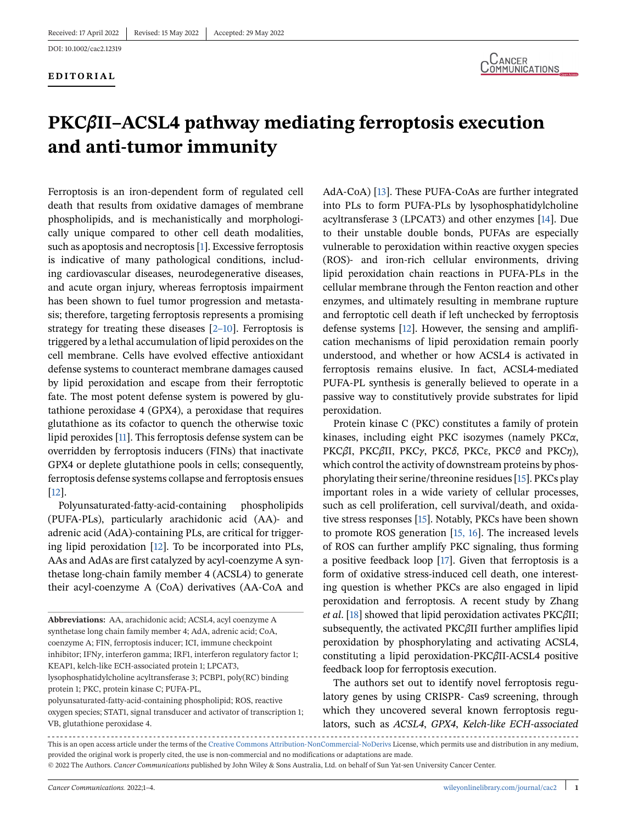DOI: 10.1002/cac2.12319

### **EDITORIAL**



# **PKC***β***II–ACSL4 pathway mediating ferroptosis execution and anti-tumor immunity**

Ferroptosis is an iron-dependent form of regulated cell death that results from oxidative damages of membrane phospholipids, and is mechanistically and morphologically unique compared to other cell death modalities, such as apoptosis and necroptosis [\[1\]](#page-3-0). Excessive ferroptosis is indicative of many pathological conditions, including cardiovascular diseases, neurodegenerative diseases, and acute organ injury, whereas ferroptosis impairment has been shown to fuel tumor progression and metastasis; therefore, targeting ferroptosis represents a promising strategy for treating these diseases [\[2–10\]](#page-3-0). Ferroptosis is triggered by a lethal accumulation of lipid peroxides on the cell membrane. Cells have evolved effective antioxidant defense systems to counteract membrane damages caused by lipid peroxidation and escape from their ferroptotic fate. The most potent defense system is powered by glutathione peroxidase 4 (GPX4), a peroxidase that requires glutathione as its cofactor to quench the otherwise toxic lipid peroxides [\[11\]](#page-3-0). This ferroptosis defense system can be overridden by ferroptosis inducers (FINs) that inactivate GPX4 or deplete glutathione pools in cells; consequently, ferroptosis defense systems collapse and ferroptosis ensues [\[12\]](#page-3-0).

Polyunsaturated-fatty-acid-containing phospholipids (PUFA-PLs), particularly arachidonic acid (AA)- and adrenic acid (AdA)-containing PLs, are critical for triggering lipid peroxidation [\[12\]](#page-3-0). To be incorporated into PLs, AAs and AdAs are first catalyzed by acyl-coenzyme A synthetase long-chain family member 4 (ACSL4) to generate their acyl-coenzyme A (CoA) derivatives (AA-CoA and

**Abbreviations:** AA, arachidonic acid; ACSL4, acyl coenzyme A synthetase long chain family member 4; AdA, adrenic acid; CoA, coenzyme A; FIN, ferroptosis inducer; ICI, immune checkpoint inhibitor; IFN*γ*, interferon gamma; IRF1, interferon regulatory factor 1; KEAP1, kelch-like ECH-associated protein 1; LPCAT3, lysophosphatidylcholine acyltransferase 3; PCBP1, poly(RC) binding protein 1; PKC, protein kinase C; PUFA-PL,

polyunsaturated-fatty-acid-containing phospholipid; ROS, reactive oxygen species; STAT1, signal transducer and activator of transcription 1; VB, glutathione peroxidase 4.

AdA-CoA) [\[13\]](#page-3-0). These PUFA-CoAs are further integrated into PLs to form PUFA-PLs by lysophosphatidylcholine acyltransferase 3 (LPCAT3) and other enzymes [\[14\]](#page-3-0). Due to their unstable double bonds, PUFAs are especially vulnerable to peroxidation within reactive oxygen species (ROS)- and iron-rich cellular environments, driving lipid peroxidation chain reactions in PUFA-PLs in the cellular membrane through the Fenton reaction and other enzymes, and ultimately resulting in membrane rupture and ferroptotic cell death if left unchecked by ferroptosis defense systems [\[12\]](#page-3-0). However, the sensing and amplification mechanisms of lipid peroxidation remain poorly understood, and whether or how ACSL4 is activated in ferroptosis remains elusive. In fact, ACSL4-mediated PUFA-PL synthesis is generally believed to operate in a passive way to constitutively provide substrates for lipid peroxidation.

Protein kinase C (PKC) constitutes a family of protein kinases, including eight PKC isozymes (namely PKC*α*, PKC*β*Ι, PKC*β*ΙΙ, PKC*γ*, PKC*δ*, PKCɛ, PKC*θ* and PKC*η*), which control the activity of downstream proteins by phosphorylating their serine/threonine residues [\[15\]](#page-3-0). PKCs play important roles in a wide variety of cellular processes, such as cell proliferation, cell survival/death, and oxidative stress responses [\[15\]](#page-3-0). Notably, PKCs have been shown to promote ROS generation [\[15, 16\]](#page-3-0). The increased levels of ROS can further amplify PKC signaling, thus forming a positive feedback loop [\[17\]](#page-3-0). Given that ferroptosis is a form of oxidative stress-induced cell death, one interesting question is whether PKCs are also engaged in lipid peroxidation and ferroptosis. A recent study by Zhang *et al*. [\[18\]](#page-3-0) showed that lipid peroxidation activates PKC*β*II; subsequently, the activated PKC*β*II further amplifies lipid peroxidation by phosphorylating and activating ACSL4, constituting a lipid peroxidation-PKC*β*II-ACSL4 positive feedback loop for ferroptosis execution.

The authors set out to identify novel ferroptosis regulatory genes by using CRISPR- Cas9 screening, through which they uncovered several known ferroptosis regulators, such as *ACSL4*, *GPX4*, *Kelch-like ECH-associated*

This is an open access article under the terms of the [Creative Commons Attribution-NonCommercial-NoDerivs](http://creativecommons.org/licenses/by-nc-nd/4.0/) License, which permits use and distribution in any medium, provided the original work is properly cited, the use is non-commercial and no modifications or adaptations are made. © 2022 The Authors. *Cancer Communications* published by John Wiley & Sons Australia, Ltd. on behalf of Sun Yat-sen University Cancer Center.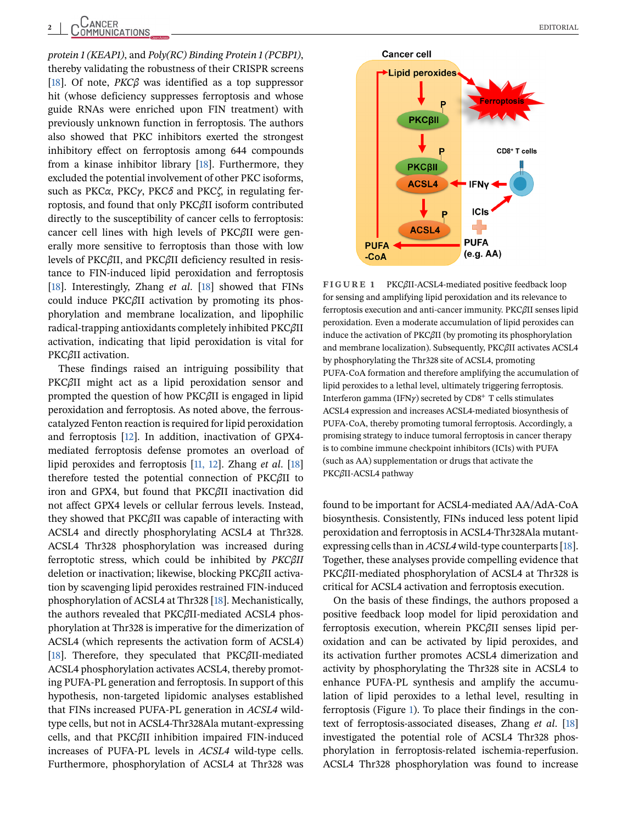<span id="page-1-0"></span>*protein 1 (KEAP1)*, and *Poly(RC) Binding Protein 1 (PCBP1)*, thereby validating the robustness of their CRISPR screens [\[18\]](#page-3-0). Of note, *PKCβ* was identified as a top suppressor hit (whose deficiency suppresses ferroptosis and whose guide RNAs were enriched upon FIN treatment) with previously unknown function in ferroptosis. The authors also showed that PKC inhibitors exerted the strongest inhibitory effect on ferroptosis among 644 compounds from a kinase inhibitor library [\[18\]](#page-3-0). Furthermore, they excluded the potential involvement of other PKC isoforms, such as PKC*α*, PKC*γ*, PKC*δ* and PKC*ζ*, in regulating ferroptosis, and found that only PKC*β*II isoform contributed directly to the susceptibility of cancer cells to ferroptosis: cancer cell lines with high levels of PKC*β*II were generally more sensitive to ferroptosis than those with low levels of PKC*β*II, and PKC*β*II deficiency resulted in resistance to FIN-induced lipid peroxidation and ferroptosis [\[18\]](#page-3-0). Interestingly, Zhang *et al*. [\[18\]](#page-3-0) showed that FINs could induce PKC*β*II activation by promoting its phosphorylation and membrane localization, and lipophilic radical-trapping antioxidants completely inhibited PKC*β*II activation, indicating that lipid peroxidation is vital for PKC*β*II activation.

These findings raised an intriguing possibility that PKC*β*II might act as a lipid peroxidation sensor and prompted the question of how PKC*β*II is engaged in lipid peroxidation and ferroptosis. As noted above, the ferrouscatalyzed Fenton reaction is required for lipid peroxidation and ferroptosis [\[12\]](#page-3-0). In addition, inactivation of GPX4 mediated ferroptosis defense promotes an overload of lipid peroxides and ferroptosis [\[11, 12\]](#page-3-0). Zhang *et al*. [\[18\]](#page-3-0) therefore tested the potential connection of PKC*β*II to iron and GPX4, but found that PKC*β*II inactivation did not affect GPX4 levels or cellular ferrous levels. Instead, they showed that PKC*β*II was capable of interacting with ACSL4 and directly phosphorylating ACSL4 at Thr328. ACSL4 Thr328 phosphorylation was increased during ferroptotic stress, which could be inhibited by *PKCβII* deletion or inactivation; likewise, blocking PKC*β*II activation by scavenging lipid peroxides restrained FIN-induced phosphorylation of ACSL4 at Thr328 [\[18\]](#page-3-0). Mechanistically, the authors revealed that PKC*β*II-mediated ACSL4 phosphorylation at Thr328 is imperative for the dimerization of ACSL4 (which represents the activation form of ACSL4) [\[18\]](#page-3-0). Therefore, they speculated that PKC*β*II-mediated ACSL4 phosphorylation activates ACSL4, thereby promoting PUFA-PL generation and ferroptosis. In support of this hypothesis, non-targeted lipidomic analyses established that FINs increased PUFA-PL generation in *ACSL4* wildtype cells, but not in ACSL4-Thr328Ala mutant-expressing cells, and that PKC*β*II inhibition impaired FIN-induced increases of PUFA-PL levels in *ACSL4* wild-type cells. Furthermore, phosphorylation of ACSL4 at Thr328 was



**FIGURE 1** PKC*β*II-ACSL4-mediated positive feedback loop for sensing and amplifying lipid peroxidation and its relevance to ferroptosis execution and anti-cancer immunity. PKC*β*II senses lipid peroxidation. Even a moderate accumulation of lipid peroxides can induce the activation of PKC*β*II (by promoting its phosphorylation and membrane localization). Subsequently, PKC*β*II activates ACSL4 by phosphorylating the Thr328 site of ACSL4, promoting PUFA-CoA formation and therefore amplifying the accumulation of lipid peroxides to a lethal level, ultimately triggering ferroptosis. Interferon gamma (IFN*γ*) secreted by CD8<sup>+</sup> T cells stimulates ACSL4 expression and increases ACSL4-mediated biosynthesis of PUFA-CoA, thereby promoting tumoral ferroptosis. Accordingly, a promising strategy to induce tumoral ferroptosis in cancer therapy is to combine immune checkpoint inhibitors (ICIs) with PUFA (such as AA) supplementation or drugs that activate the PKC*β*II-ACSL4 pathway

found to be important for ACSL4-mediated AA/AdA-CoA biosynthesis. Consistently, FINs induced less potent lipid peroxidation and ferroptosis in ACSL4-Thr328Ala mutantexpressing cells than in *ACSL4* wild-type counterparts [\[18\]](#page-3-0). Together, these analyses provide compelling evidence that PKC*β*II-mediated phosphorylation of ACSL4 at Thr328 is critical for ACSL4 activation and ferroptosis execution.

On the basis of these findings, the authors proposed a positive feedback loop model for lipid peroxidation and ferroptosis execution, wherein PKC*β*II senses lipid peroxidation and can be activated by lipid peroxides, and its activation further promotes ACSL4 dimerization and activity by phosphorylating the Thr328 site in ACSL4 to enhance PUFA-PL synthesis and amplify the accumulation of lipid peroxides to a lethal level, resulting in ferroptosis (Figure 1). To place their findings in the context of ferroptosis-associated diseases, Zhang *et al*. [\[18\]](#page-3-0) investigated the potential role of ACSL4 Thr328 phosphorylation in ferroptosis-related ischemia-reperfusion. ACSL4 Thr328 phosphorylation was found to increase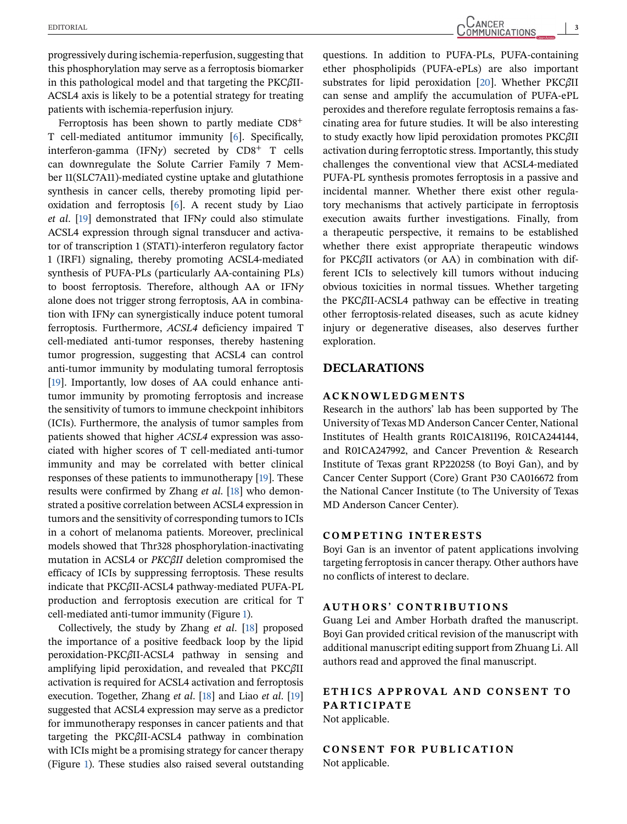progressively during ischemia-reperfusion, suggesting that this phosphorylation may serve as a ferroptosis biomarker in this pathological model and that targeting the PKC*β*II-ACSL4 axis is likely to be a potential strategy for treating patients with ischemia-reperfusion injury.

Ferroptosis has been shown to partly mediate CD8<sup>+</sup> T cell-mediated antitumor immunity [\[6\]](#page-3-0). Specifically, interferon-gamma (IFN*γ*) secreted by CD8<sup>+</sup> T cells can downregulate the Solute Carrier Family 7 Member 11(SLC7A11)-mediated cystine uptake and glutathione synthesis in cancer cells, thereby promoting lipid peroxidation and ferroptosis [\[6\]](#page-3-0). A recent study by Liao *et al*. [\[19\]](#page-3-0) demonstrated that IFN*γ* could also stimulate ACSL4 expression through signal transducer and activator of transcription 1 (STAT1)-interferon regulatory factor 1 (IRF1) signaling, thereby promoting ACSL4-mediated synthesis of PUFA-PLs (particularly AA-containing PLs) to boost ferroptosis. Therefore, although AA or IFN*γ* alone does not trigger strong ferroptosis, AA in combination with IFN*γ* can synergistically induce potent tumoral ferroptosis. Furthermore, *ACSL4* deficiency impaired T cell-mediated anti-tumor responses, thereby hastening tumor progression, suggesting that ACSL4 can control anti-tumor immunity by modulating tumoral ferroptosis [\[19\]](#page-3-0). Importantly, low doses of AA could enhance antitumor immunity by promoting ferroptosis and increase the sensitivity of tumors to immune checkpoint inhibitors (ICIs). Furthermore, the analysis of tumor samples from patients showed that higher *ACSL4* expression was associated with higher scores of T cell-mediated anti-tumor immunity and may be correlated with better clinical responses of these patients to immunotherapy [\[19\]](#page-3-0). These results were confirmed by Zhang *et al*. [\[18\]](#page-3-0) who demonstrated a positive correlation between ACSL4 expression in tumors and the sensitivity of corresponding tumors to ICIs in a cohort of melanoma patients. Moreover, preclinical models showed that Thr328 phosphorylation-inactivating mutation in ACSL4 or *PKCβII* deletion compromised the efficacy of ICIs by suppressing ferroptosis. These results indicate that PKC*β*II-ACSL4 pathway-mediated PUFA-PL production and ferroptosis execution are critical for T cell-mediated anti-tumor immunity (Figure [1\)](#page-1-0).

Collectively, the study by Zhang *et al*. [\[18\]](#page-3-0) proposed the importance of a positive feedback loop by the lipid peroxidation-PKC*β*II-ACSL4 pathway in sensing and amplifying lipid peroxidation, and revealed that PKC*β*II activation is required for ACSL4 activation and ferroptosis execution. Together, Zhang *et al*. [\[18\]](#page-3-0) and Liao *et al*. [\[19\]](#page-3-0) suggested that ACSL4 expression may serve as a predictor for immunotherapy responses in cancer patients and that targeting the PKC*β*II-ACSL4 pathway in combination with ICIs might be a promising strategy for cancer therapy (Figure [1\)](#page-1-0). These studies also raised several outstanding questions. In addition to PUFA-PLs, PUFA-containing ether phospholipids (PUFA-ePLs) are also important substrates for lipid peroxidation [\[20\]](#page-3-0). Whether PKC*β*II can sense and amplify the accumulation of PUFA-ePL peroxides and therefore regulate ferroptosis remains a fascinating area for future studies. It will be also interesting

to study exactly how lipid peroxidation promotes PKC*β*II activation during ferroptotic stress. Importantly, this study challenges the conventional view that ACSL4-mediated PUFA-PL synthesis promotes ferroptosis in a passive and incidental manner. Whether there exist other regulatory mechanisms that actively participate in ferroptosis execution awaits further investigations. Finally, from a therapeutic perspective, it remains to be established whether there exist appropriate therapeutic windows for PKC*β*II activators (or AA) in combination with different ICIs to selectively kill tumors without inducing obvious toxicities in normal tissues. Whether targeting the PKC*β*II-ACSL4 pathway can be effective in treating other ferroptosis-related diseases, such as acute kidney injury or degenerative diseases, also deserves further exploration.

### **DECLARATIONS**

### **ACKNOWLEDGMENTS**

Research in the authors' lab has been supported by The University of Texas MD Anderson Cancer Center, National Institutes of Health grants R01CA181196, R01CA244144, and R01CA247992, and Cancer Prevention & Research Institute of Texas grant RP220258 (to Boyi Gan), and by Cancer Center Support (Core) Grant P30 CA016672 from the National Cancer Institute (to The University of Texas MD Anderson Cancer Center).

## **COMPETING INTERESTS**

Boyi Gan is an inventor of patent applications involving targeting ferroptosis in cancer therapy. Other authors have no conflicts of interest to declare.

### **AUTHORS' CONTRIBUTIONS**

Guang Lei and Amber Horbath drafted the manuscript. Boyi Gan provided critical revision of the manuscript with additional manuscript editing support from Zhuang Li. All authors read and approved the final manuscript.

# **ETH ICS APPROVAL AND CONSENT TO PARTICIPATE**

Not applicable.

**CONSENT FOR PUBLICATION** Not applicable.